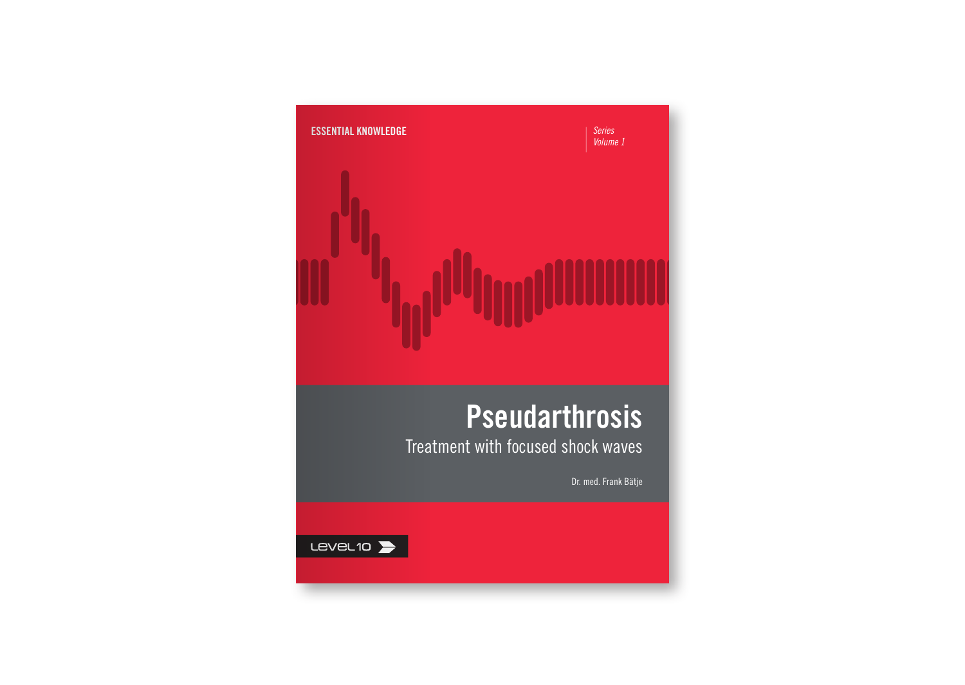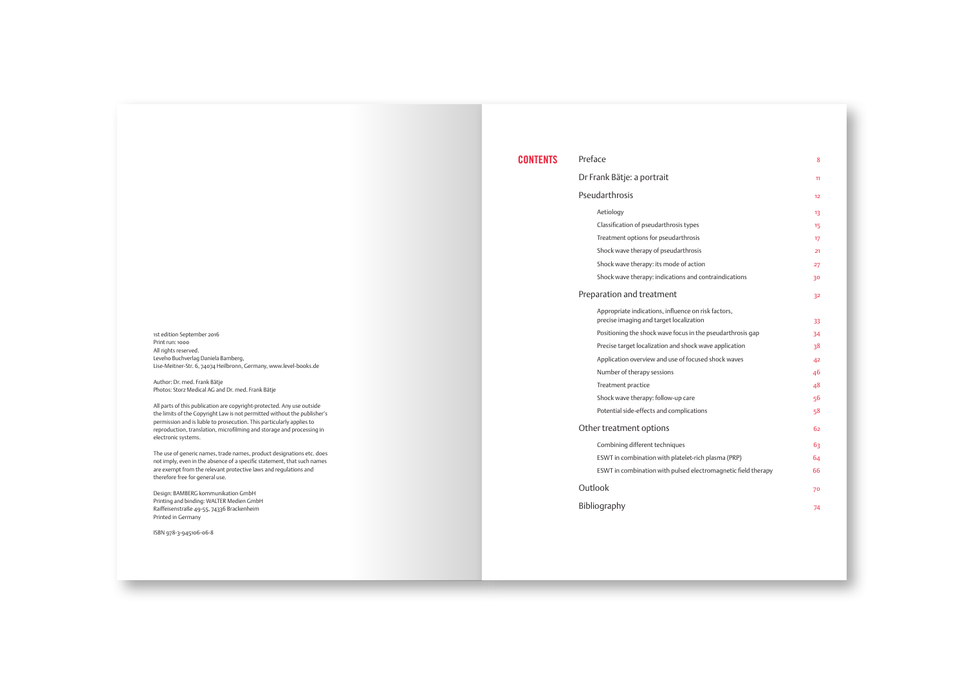1st edition September 2016 Print run: 1000 All rights reserved. Level10 Buchverlag Daniela Bamberg, Lise-Meitner-Str. 6, 74074 Heilbronn, Germany, www.level-books.de

Author: Dr. med. Frank Bätje Photos: Storz Medical AG and Dr. med. Frank Bätje

All parts of this publication are copyright-protected. Any use outside the limits of the Copyright Law is not permitted without the publisher's permission and is liable to prosecution. This particularly applies to reproduction, translation, microfilming and storage and processing in electronic systems.

The use of generic names, trade names, product designations etc. does not imply, even in the absence of a specific statement, that such names are exempt from the relevant protective laws and regulations and therefore free for general use.

Design: BAMBERG kommunikation GmbH Printing and binding: WALTER Medien GmbH Raiffeisenstraße 49-55, 74336 Brackenheim Printed in Germany

ISBN 978-3-945106-06-8

| <b>CONTENTS</b> | Preface                                                                                        | ×  |
|-----------------|------------------------------------------------------------------------------------------------|----|
|                 | Dr Frank Bätje: a portrait                                                                     | m  |
|                 | Pseudarthrosis                                                                                 | 12 |
|                 | Actiology                                                                                      | R  |
|                 | Classification of pseudarthrosis types                                                         | 15 |
|                 | Treatment options for pseudarthrosis                                                           | T7 |
|                 | Shock wave therapy of pseudarthrosis                                                           | 21 |
|                 | Shock wave therapy: its mode of action                                                         | 27 |
|                 | Shock wave therapy: indications and contraindications                                          | 30 |
|                 | Preparation and treatment                                                                      | 32 |
|                 | Appropriate indications, influence on risk factors.<br>precise imaging and target localization | 33 |
|                 | Positioning the shock wave focus in the pseudarthrosis gap                                     | 34 |
|                 | Precise target localization and shock wave application                                         | 28 |
|                 | Application overview and use of focused shock waves                                            | 42 |
|                 | Number of therapy sessions                                                                     | 46 |
|                 | Treatment practice                                                                             | 48 |
|                 | Shock wave therapy: follow-up care                                                             | ×6 |
|                 | Potential side-effects and complications                                                       | 58 |
|                 | Other treatment options                                                                        | 65 |
|                 | Combining different techniques                                                                 | 62 |
|                 | ESWT in combination with platelet-rich plasma (PRP)                                            | 64 |
|                 | ESWT in combination with pulsed electromagnetic field therapy                                  | 66 |
|                 | Outlook                                                                                        | 70 |
|                 | Bibliography                                                                                   | 74 |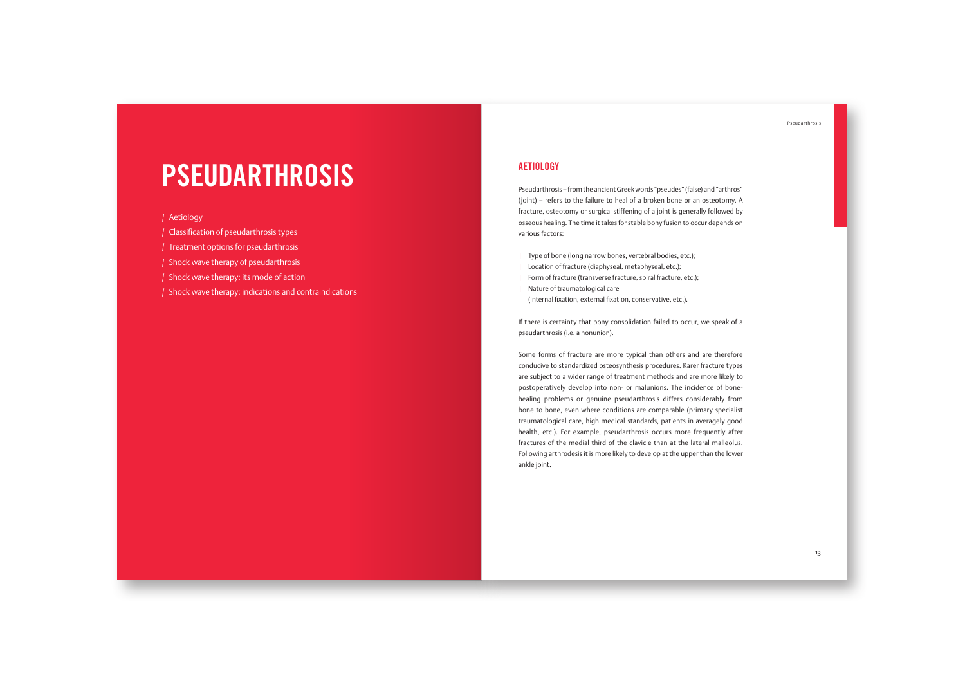# **PSEUDARTHROSIS**

/ Aetiology

/ Classification of pseudarthrosis types

/ Treatment options for pseudarthrosis

/ Shock wave therapy of pseudarthrosis

/ Shock wave therapy: its mode of action

/ Shock wave therapy: indications and contraindications

# **AFTIOLOGY**

Pseudarthrosis – from the ancient Greek words "pseudes" (false) and "arthros" (joint) – refers to the failure to heal of a broken bone or an osteotomy. A fracture, osteotomy or surgical stiffening of a joint is generally followed by osseous healing. The time it takes for stable bony fusion to occur depends on various factors:

| Type of bone (long narrow bones, vertebral bodies, etc.);

| Location of fracture (diaphyseal, metaphyseal, etc.);

| Form of fracture (transverse fracture, spiral fracture, etc.);

| Nature of traumatological care (internal fixation, external fixation, conservative, etc.).

If there is certainty that bony consolidation failed to occur, we speak of a pseudarthrosis (i.e. a nonunion).

Some forms of fracture are more typical than others and are therefore conducive to standardized osteosynthesis procedures. Rarer fracture types are subject to a wider range of treatment methods and are more likely to postoperatively develop into non- or malunions. The incidence of bonehealing problems or genuine pseudarthrosis differs considerably from bone to bone, even where conditions are comparable (primary specialist traumatological care, high medical standards, patients in averagely good health, etc.). For example, pseudarthrosis occurs more frequently after fractures of the medial third of the clavicle than at the lateral malleolus. Following arthrodesis it is more likely to develop at the upper than the lower ankle joint.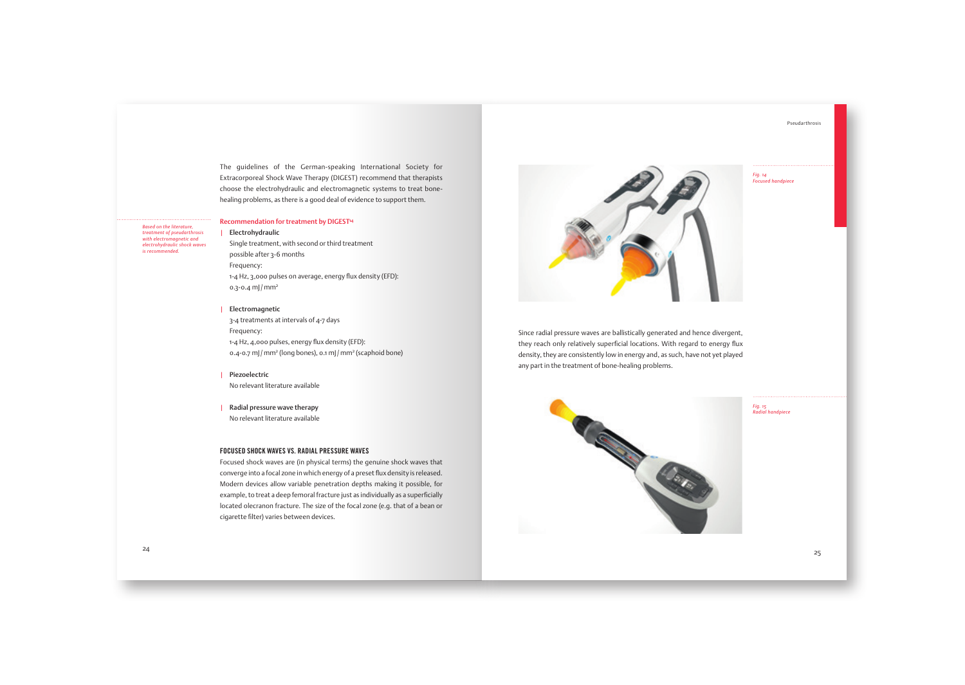The guidelines of the German-speaking International Society for Extracorporeal Shock Wave Therapy (DIGEST) recommend that therapists choose the electrohydraulic and electromagnetic systems to treat bonehealing problems, as there is a good deal of evidence to support them.

#### Recommendation for treatment by DIGEST<sup>4</sup>

*Based on the literature, treatment of pseudarthrosis with electromagnetic and electrohydraulic shock waves is recommended.* 

#### | Electrohydraulic

Single treatment, with second or third treatment possible after 3-6 months Frequency: 1-4 Hz, 3,000 pulses on average, energy flux density (EFD): 0.3-0.4 mJ/mm2

#### | Electromagnetic

3-4 treatments at intervals of 4-7 days Frequency: 1-4 Hz, 4,000 pulses, energy flux density (EFD): 0.4-0.7 mJ / mm<sup>2</sup> (long bones), 0.1 mJ / mm<sup>2</sup> (scaphoid bone)

| Piezoelectric No relevant literature available

| Radial pressure wave therapy No relevant literature available

### FOCUSED SHOCK WAVES VS. RADIAL PRESSURE WAVES

Focused shock waves are (in physical terms) the genuine shock waves that converge into a focal zone in which energy of a preset flux density is released. Modern devices allow variable penetration depths making it possible, for example, to treat a deep femoral fracture just as individually as a superficially located olecranon fracture. The size of the focal zone (e.g. that of a bean or cigarette filter) varies between devices.



Since radial pressure waves are ballistically generated and hence divergent, they reach only relatively superficial locations. With regard to energy flux density, they are consistently low in energy and, as such, have not yet played any part in the treatment of bone-healing problems.



*Fig. 15 Radial handpiece*